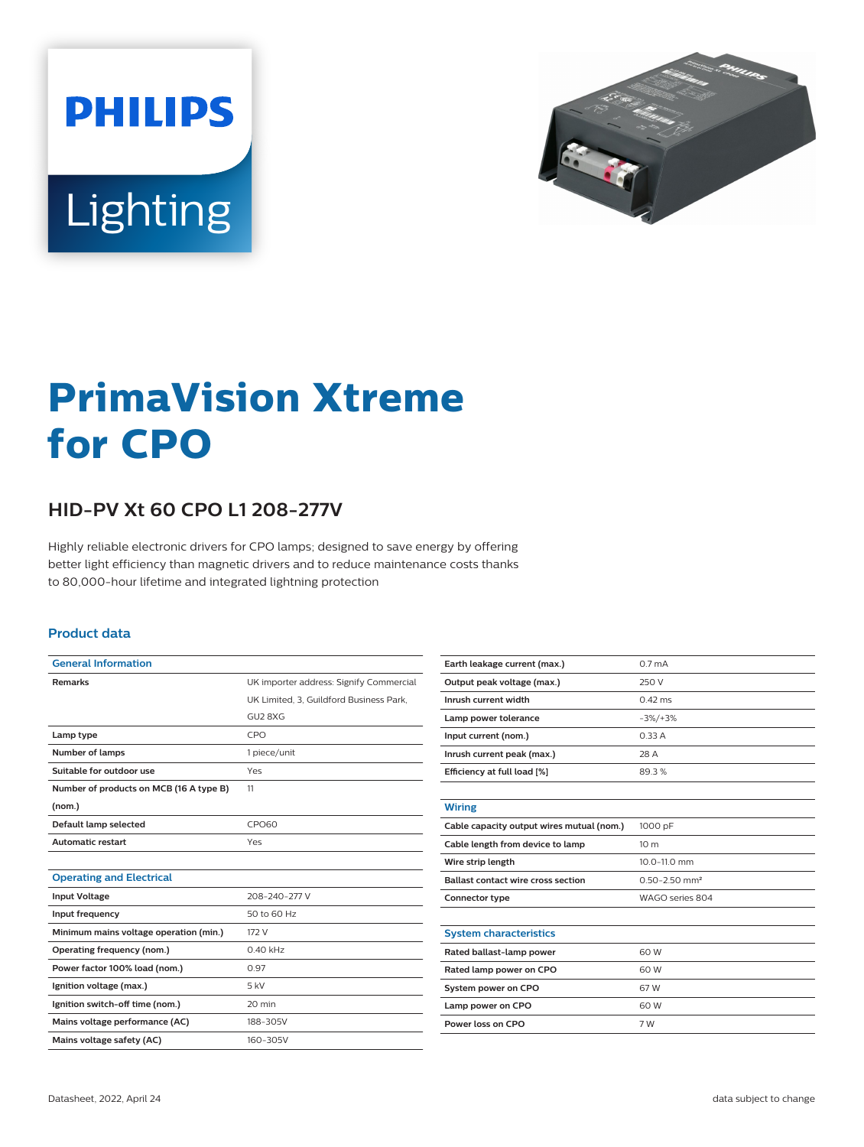



# **PrimaVision Xtreme for CPO**

## **HID-PV Xt 60 CPO L1 208-277V**

Highly reliable electronic drivers for CPO lamps; designed to save energy by offering better light efficiency than magnetic drivers and to reduce maintenance costs thanks to 80,000-hour lifetime and integrated lightning protection

#### **Product data**

| <b>General Information</b>              |                                         |  |  |
|-----------------------------------------|-----------------------------------------|--|--|
| <b>Remarks</b>                          | UK importer address: Signify Commercial |  |  |
|                                         | UK Limited. 3. Guildford Business Park. |  |  |
|                                         | GU2 8XG                                 |  |  |
| Lamp type                               | CPO                                     |  |  |
| <b>Number of lamps</b>                  | 1 piece/unit                            |  |  |
| Suitable for outdoor use                | Yes                                     |  |  |
| Number of products on MCB (16 A type B) | 11                                      |  |  |
| (nom.)                                  |                                         |  |  |
| Default lamp selected                   | <b>CPO60</b>                            |  |  |
| <b>Automatic restart</b>                | Yes                                     |  |  |
|                                         |                                         |  |  |
| <b>Operating and Electrical</b>         |                                         |  |  |
| <b>Input Voltage</b>                    | 208-240-277 V                           |  |  |
| Input frequency                         | 50 to 60 Hz                             |  |  |
| Minimum mains voltage operation (min.)  | 172 V                                   |  |  |
| Operating frequency (nom.)              | $0.40$ kHz                              |  |  |
| Power factor 100% load (nom.)           | 0.97                                    |  |  |
| Ignition voltage (max.)                 | $5$ kV                                  |  |  |
| Ignition switch-off time (nom.)         | 20 min                                  |  |  |
| Mains voltage performance (AC)          | 188-305V                                |  |  |
| Mains voltage safety (AC)               | 160-305V                                |  |  |

| Earth leakage current (max.)              | 0.7 <sub>m</sub> A            |  |  |
|-------------------------------------------|-------------------------------|--|--|
| Output peak voltage (max.)                | 250 V                         |  |  |
| Inrush current width                      | $0.42$ ms                     |  |  |
| Lamp power tolerance                      | $-3\%/+3\%$                   |  |  |
| Input current (nom.)                      | 0.33A                         |  |  |
| Inrush current peak (max.)                | 28 A                          |  |  |
| Efficiency at full load [%]               | 89.3%                         |  |  |
|                                           |                               |  |  |
| <b>Wiring</b>                             |                               |  |  |
| Cable capacity output wires mutual (nom.) | 1000 pF                       |  |  |
| Cable length from device to lamp          | 10 <sub>m</sub>               |  |  |
| Wire strip length                         | 10.0-11.0 mm                  |  |  |
| <b>Ballast contact wire cross section</b> | $0.50 - 2.50$ mm <sup>2</sup> |  |  |
| Connector type                            | WAGO series 804               |  |  |
|                                           |                               |  |  |
| <b>System characteristics</b>             |                               |  |  |
| Rated ballast-lamp power                  | 60 W                          |  |  |
| Rated lamp power on CPO                   | 60 W                          |  |  |
| System power on CPO                       | 67W                           |  |  |
| Lamp power on CPO                         | 60 W                          |  |  |
| Power loss on CPO                         | 7 W                           |  |  |
|                                           |                               |  |  |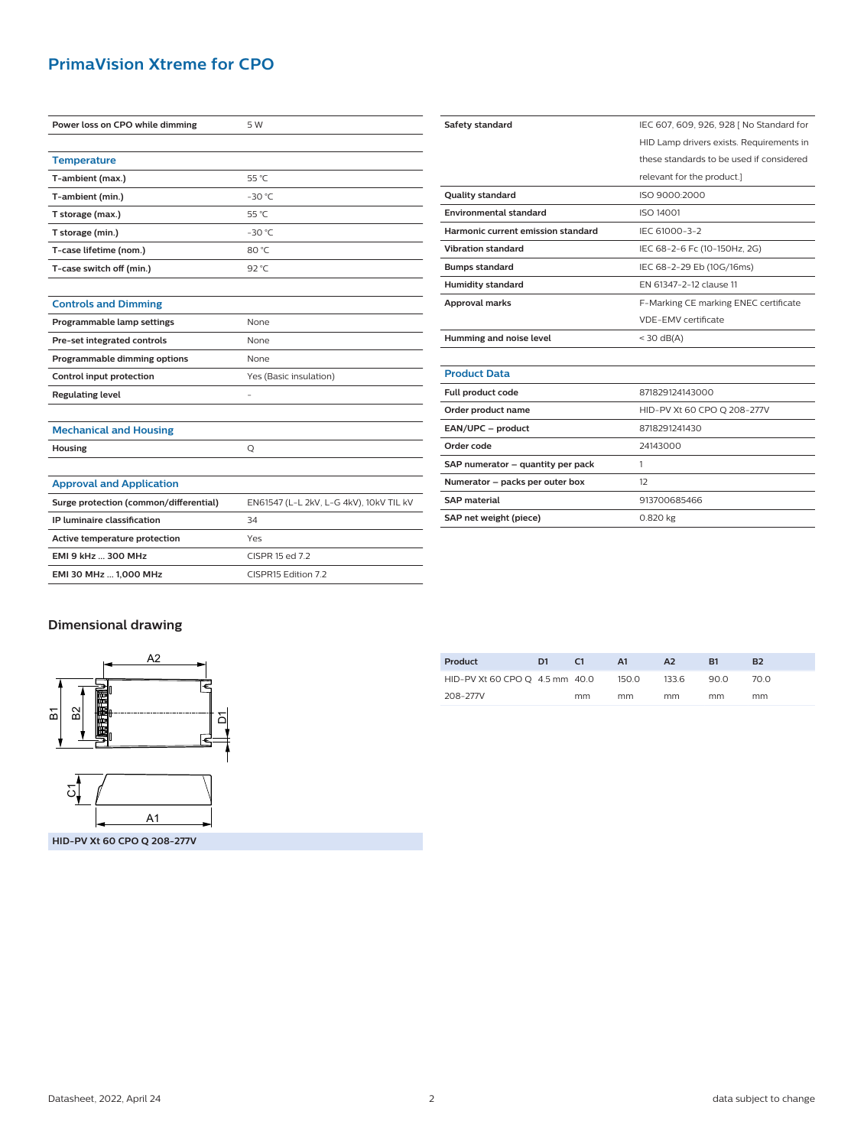### **PrimaVision Xtreme for CPO**

| Power loss on CPO while dimming        | 5 W                                     | Safety standard                    | IEC 607, 609, 926, 928   No Standard for |  |
|----------------------------------------|-----------------------------------------|------------------------------------|------------------------------------------|--|
|                                        |                                         |                                    | HID Lamp drivers exists. Requirements in |  |
| <b>Temperature</b>                     |                                         |                                    | these standards to be used if considered |  |
| T-ambient (max.)                       | 55 °C                                   |                                    | relevant for the product.]               |  |
| T-ambient (min.)                       | $-30 °C$                                | <b>Quality standard</b>            | ISO 9000:2000                            |  |
| T storage (max.)                       | 55 °C                                   | <b>Environmental standard</b>      | ISO 14001                                |  |
| T storage (min.)                       | $-30 °C$                                | Harmonic current emission standard | IEC 61000-3-2                            |  |
| T-case lifetime (nom.)                 | 80 °C                                   | <b>Vibration standard</b>          | IEC 68-2-6 Fc (10-150Hz, 2G)             |  |
| T-case switch off (min.)               | 92 $°C$                                 | <b>Bumps standard</b>              | IEC 68-2-29 Eb (10G/16ms)                |  |
|                                        |                                         | <b>Humidity standard</b>           | EN 61347-2-12 clause 11                  |  |
| <b>Controls and Dimming</b>            |                                         | <b>Approval marks</b>              | F-Marking CE marking ENEC certificate    |  |
| Programmable lamp settings             | None                                    |                                    | VDE-EMV certificate                      |  |
| Pre-set integrated controls            | None                                    | Humming and noise level            | $<$ 30 dB(A)                             |  |
| Programmable dimming options           | None                                    |                                    |                                          |  |
| Control input protection               | Yes (Basic insulation)                  | <b>Product Data</b>                |                                          |  |
| <b>Regulating level</b>                |                                         | Full product code                  | 871829124143000                          |  |
|                                        |                                         | Order product name                 | HID-PV Xt 60 CPO Q 208-277V              |  |
| <b>Mechanical and Housing</b>          |                                         | EAN/UPC - product                  | 8718291241430                            |  |
| Housing                                | Q                                       | Order code                         | 24143000                                 |  |
|                                        |                                         | SAP numerator - quantity per pack  | $\mathbf{1}$                             |  |
| <b>Approval and Application</b>        |                                         | Numerator - packs per outer box    | 12                                       |  |
| Surge protection (common/differential) | EN61547 (L-L 2kV, L-G 4kV), 10kV TIL kV | <b>SAP material</b>                | 913700685466                             |  |
| IP luminaire classification            | 34                                      | SAP net weight (piece)             | 0.820 kg                                 |  |
| Active temperature protection          | Yes                                     |                                    |                                          |  |
| EMI 9 kHz  300 MHz                     | CISPR 15 ed 7.2                         |                                    |                                          |  |
| EMI 30 MHz  1,000 MHz                  | CISPR15 Edition 7.2                     |                                    |                                          |  |

#### **Dimensional drawing**



| Product                        | D1 | C <sub>1</sub> | A1    | A <sub>2</sub> | R1   | <b>B2</b> |
|--------------------------------|----|----------------|-------|----------------|------|-----------|
| HID-PV Xt 60 CPO O 4.5 mm 40.0 |    |                | 150.0 | 133.6          | 90.0 | 70 N      |
| 208-277V                       |    | mm             | mm    | mm             | mm   | mm        |